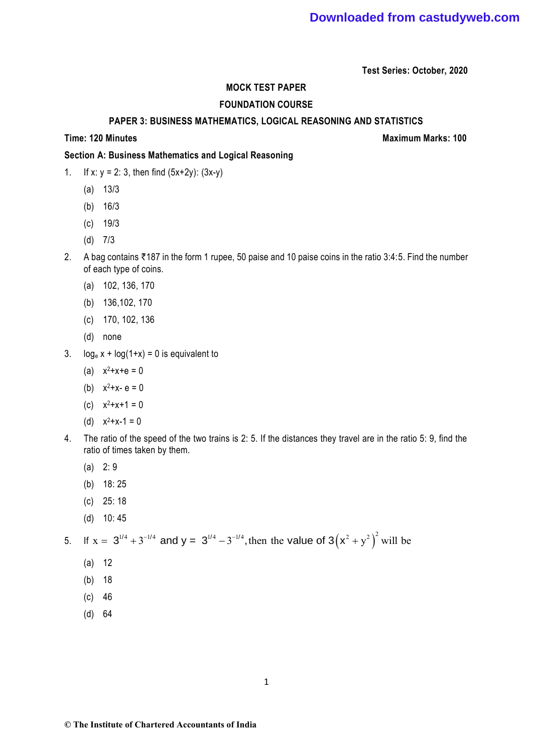**Test Series: October, 2020**

## **MOCK TEST PAPER**

## **FOUNDATION COURSE**

## **PAPER 3: BUSINESS MATHEMATICS, LOGICAL REASONING AND STATISTICS**

**Time: 120 Minutes Maximum Marks: 100** 

## **Section A: Business Mathematics and Logical Reasoning**

- 1. If x:  $y = 2$ : 3, then find  $(5x+2y)$ :  $(3x-y)$ 
	- (a) 13/3
	- (b) 16/3
	- (c) 19/3
	- (d) 7/3
- 2. A bag contains  $\bar{\tau}$ 187 in the form 1 rupee, 50 paise and 10 paise coins in the ratio 3:4:5. Find the number of each type of coins.
	- (a) 102, 136, 170
	- (b) 136,102, 170
	- (c) 170, 102, 136
	- (d) none
- 3.  $log_e x + log(1+x) = 0$  is equivalent to
	- (a)  $x^2+x+e=0$
	- (b)  $x^2 + x e = 0$
	- (c)  $x^2+x+1=0$
	- (d)  $x^2+x-1=0$
- 4. The ratio of the speed of the two trains is 2: 5. If the distances they travel are in the ratio 5: 9, find the ratio of times taken by them.
	- (a) 2: 9
	- (b) 18: 25
	- (c) 25: 18
	- (d) 10: 45

# 5. If  $x = 3^{1/4} + 3^{-1/4}$  and  $y = 3^{1/4} - 3^{-1/4}$ , then the value of  $3(x^2 + y^2)^2$  will be

- (a) 12
- (b) 18
- (c) 46
- (d) 64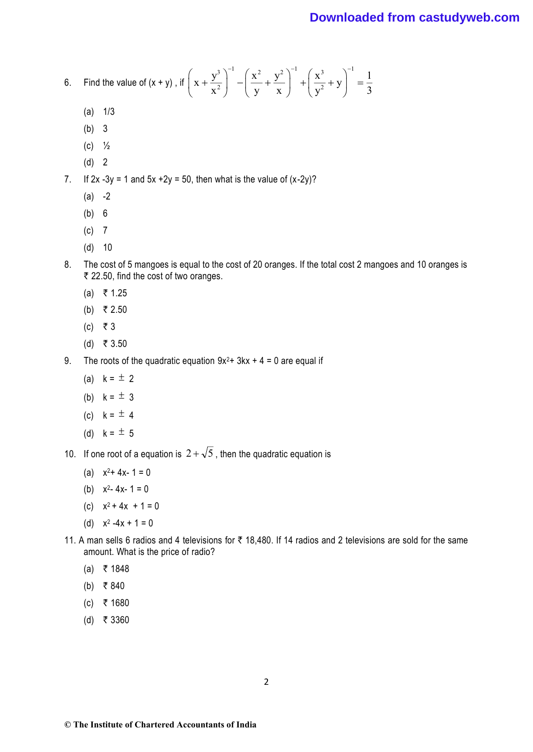# **Downloaded from castudyweb.com**

6. Find the value of 
$$
(x + y)
$$
, if  $\left(x + \frac{y^3}{x^2}\right)^{-1} - \left(\frac{x^2}{y} + \frac{y^2}{x}\right)^{-1} + \left(\frac{x^3}{y^2} + y\right)^{-1} = \frac{1}{3}$ 

- $(a)$   $1/3$
- (b) 3
- (c) ½
- (d) 2
- 7. If  $2x 3y = 1$  and  $5x + 2y = 50$ , then what is the value of  $(x-2y)$ ?
	- $(a) -2$
	- (b) 6
	- (c) 7
	- (d) 10
- 8. The cost of 5 mangoes is equal to the cost of 20 oranges. If the total cost 2 mangoes and 10 oranges is ₹ 22.50, find the cost of two oranges.
	- $(a)$  ₹ 1.25
	- (b) ₹ 2.50
	- $(c)$  ₹ 3
	- (d) ₹ 3.50
- 9. The roots of the quadratic equation  $9x^2$  + 3kx + 4 = 0 are equal if
	- (a)  $k = \pm 2$
	- (b)  $k = \pm 3$
	- (c)  $k = \pm 4$
	- (d)  $k = \pm 5$
- 10. If one root of a equation is  $2 + \sqrt{5}$ , then the quadratic equation is
	- (a)  $x^2 + 4x 1 = 0$
	- (b)  $x^2 4x 1 = 0$
	- (c)  $x^2 + 4x + 1 = 0$
	- (d)  $x^2 4x + 1 = 0$
- 11. A man sells 6 radios and 4 televisions for  $\bar{\tau}$  18,480. If 14 radios and 2 televisions are sold for the same amount. What is the price of radio?
	- $(a)$  ₹ 1848
	- (b) ₹ 840
	- $(c)$  ₹ 1680
	- (d) ₹ 3360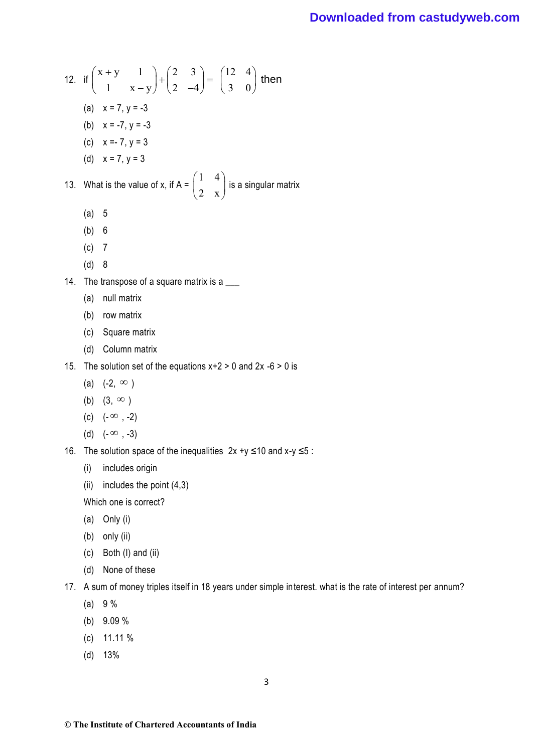# **Downloaded from castudyweb.com**

12. if  $\begin{pmatrix} x+y & 1 \end{pmatrix} + \begin{pmatrix} 2 & 3 \ 3 & 1 \end{pmatrix} = \begin{pmatrix} 12 & 4 \ 3 & 3 \end{pmatrix}$  then  $\begin{pmatrix} +y & 1 \\ 1 & x-y \end{pmatrix} + \begin{pmatrix} 2 & 3 \\ 2 & -4 \end{pmatrix} = \begin{pmatrix} 12 & 4 \\ 3 & 0 \end{pmatrix}$  then  $\begin{pmatrix} x+y & 1 \\ 1 & x-y \end{pmatrix} + \begin{pmatrix} 2 & 3 \\ 2 & -4 \end{pmatrix} = \begin{pmatrix} 12 & 4 \\ 3 & 0 \end{pmatrix}$  then  $\begin{pmatrix} x+y & 1 \\ 1 & x-y \end{pmatrix} + \begin{pmatrix} 2 & 3 \\ 2 & -4 \end{pmatrix} = \begin{pmatrix} 12 & 4 \\ 3 & 0 \end{pmatrix}$  then (a)  $x = 7, y = -3$ (b)  $x = -7, y = -3$ (c) x =- 7, y = 3 (d)  $x = 7, y = 3$ 13. What is the value of x, if A =  $\begin{pmatrix} 1 & 4 \\ 2 & 4 \end{pmatrix}$  $\begin{pmatrix} 1 & 4 \\ 2 & x \end{pmatrix}$ is a singular matrix (a) 5 (b) 6 (c) 7 (d) 8 14. The transpose of a square matrix is a (a) null matrix (b) row matrix (c) Square matrix (d) Column matrix 15. The solution set of the equations  $x+2 > 0$  and  $2x -6 > 0$  is (a)  $(-2, \infty)$ (b)  $(3, \infty)$ (c)  $(-\infty, -2)$ (d)  $(-\infty, -3)$ 16. The solution space of the inequalities  $2x +y \le 10$  and  $x-y \le 5$ : (i) includes origin (ii) includes the point (4,3) Which one is correct? (a) Only (i) (b) only (ii) (c) Both (I) and (ii) (d) None of these

17. A sum of money triples itself in 18 years under simple interest. what is the rate of interest per annum?

- (a) 9 %
- (b) 9.09 %
- (c) 11.11 %
- (d) 13%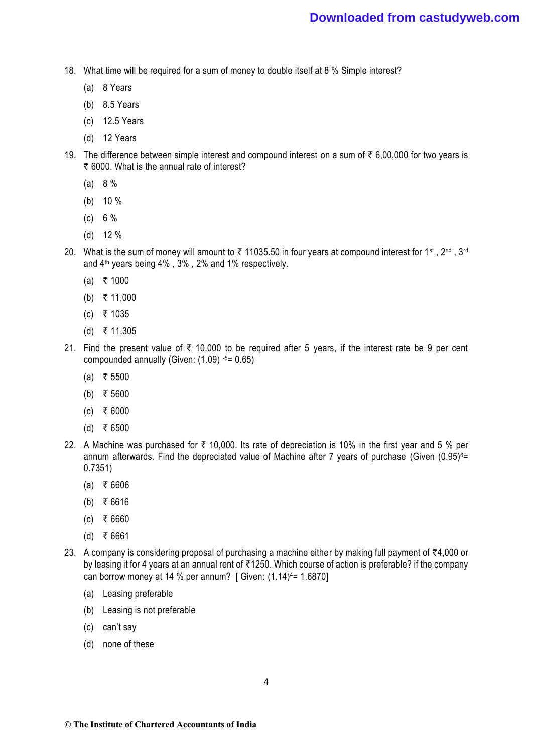- 18. What time will be required for a sum of money to double itself at 8 % Simple interest?
	- (a) 8 Years
	- (b) 8.5 Years
	- (c) 12.5 Years
	- (d) 12 Years
- 19. The difference between simple interest and compound interest on a sum of  $\bar{\tau}$  6,00,000 for two years is ₹ 6000. What is the annual rate of interest?
	- (a) 8 %
	- (b) 10 %
	- (c) 6 %
	- (d) 12 %
- 20. What is the sum of money will amount to  $\bar{\tau}$  11035.50 in four years at compound interest for 1st, 2<sup>nd</sup>, 3<sup>rd</sup> and 4th years being 4% , 3% , 2% and 1% respectively.
	- $(a)$  ₹ 1000
	- (b) ₹ 11,000
	- $(c)$  ₹ 1035
	- $(d)$  ₹ 11,305
- 21. Find the present value of  $\bar{\tau}$  10,000 to be required after 5 years, if the interest rate be 9 per cent compounded annually (Given: (1.09) -5= 0.65)
	- $(a)$  ₹ 5500
	- (b) ₹ 5600
	- $(c)$  ₹ 6000
	- (d) ₹ 6500
- 22. A Machine was purchased for  $\bar{\tau}$  10,000. Its rate of depreciation is 10% in the first year and 5 % per annum afterwards. Find the depreciated value of Machine after 7 years of purchase (Given (0.95) <sup>6</sup>= 0.7351)
	- $(a) \; \; \; \bar{\bar{\tau}}$  6606
	- (b) ₹ 6616
	- $(c)$  ₹ 6660
	- $(d)$  ₹ 6661
- 23. A company is considering proposal of purchasing a machine either by making full payment of  $\overline{4}4,000$  or by leasing it for 4 years at an annual rent of ₹1250. Which course of action is preferable? if the company can borrow money at 14 % per annum? [ Given:  $(1.14)^{4}$ = 1.6870]
	- (a) Leasing preferable
	- (b) Leasing is not preferable
	- (c) can't say
	- (d) none of these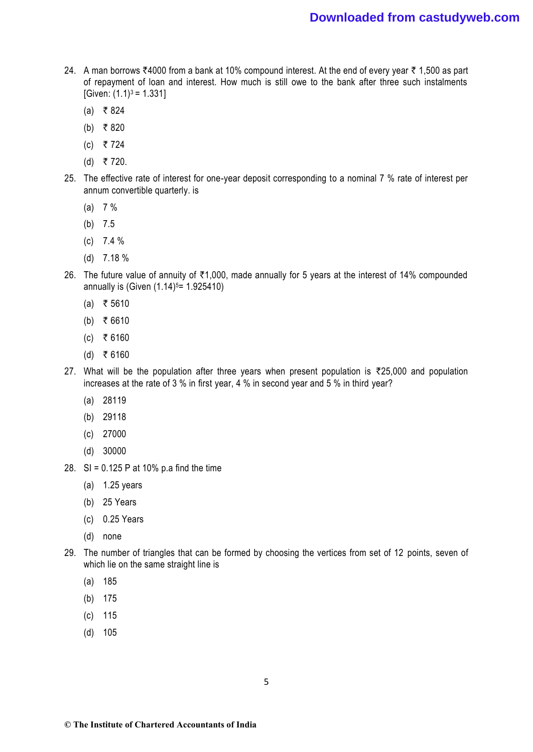- 24. A man borrows ₹4000 from a bank at 10% compound interest. At the end of every year ₹ 1,500 as part of repayment of loan and interest. How much is still owe to the bank after three such instalments  $[Given: (1.1)<sup>3</sup> = 1.331]$ 
	- $(a)$  ₹ 824
	- (b) ₹ 820
	- $(c)$  ₹ 724
	- (d) ₹ 720.
- 25. The effective rate of interest for one-year deposit corresponding to a nominal 7 % rate of interest per annum convertible quarterly. is
	- (a) 7 %
	- (b) 7.5
	- (c) 7.4 %
	- (d) 7.18 %
- 26. The future value of annuity of  $\overline{5}1,000$ , made annually for 5 years at the interest of 14% compounded annually is (Given  $(1.14)$ <sup>5</sup> = 1.925410)
	- $(a) \; \; \; \bar{\bar{\tau}}$  5610
	- (b) ₹ 6610
	- $(c)$  ₹ 6160
	- $(d)$  ₹ 6160
- 27. What will be the population after three years when present population is  $\overline{25,000}$  and population increases at the rate of 3 % in first year, 4 % in second year and 5 % in third year?
	- (a) 28119
	- (b) 29118
	- (c) 27000
	- (d) 30000
- 28. SI = 0.125 P at 10% p.a find the time
	- (a) 1.25 years
	- (b) 25 Years
	- (c) 0.25 Years
	- (d) none
- 29. The number of triangles that can be formed by choosing the vertices from set of 12 points, seven of which lie on the same straight line is
	- (a) 185
	- (b) 175
	- (c) 115
	- (d) 105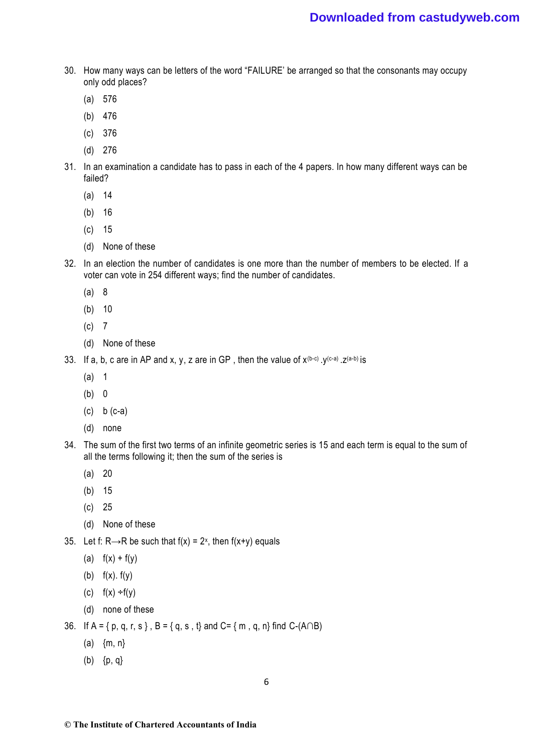- 30. How many ways can be letters of the word "FAILURE' be arranged so that the consonants may occupy only odd places?
	- (a) 576
	- (b) 476
	- (c) 376
	- (d) 276
- 31. In an examination a candidate has to pass in each of the 4 papers. In how many different ways can be failed?
	- (a) 14
	- (b) 16
	- (c) 15
	- (d) None of these
- 32. In an election the number of candidates is one more than the number of members to be elected. If a voter can vote in 254 different ways; find the number of candidates.
	- (a) 8
	- (b) 10
	- (c) 7
	- (d) None of these
- 33. If a, b, c are in AP and x, y, z are in GP, then the value of  $x^{(b-c)}$ .  $y^{(c-a)}$ .  $z^{(a-b)}$  is
	- (a) 1
	- (b) 0
	- (c) b (c-a)
	- (d) none
- 34. The sum of the first two terms of an infinite geometric series is 15 and each term is equal to the sum of all the terms following it; then the sum of the series is
	- (a) 20
	- (b) 15
	- (c) 25
	- (d) None of these
- 35. Let f: R→R be such that f(x) =  $2^x$ , then f(x+y) equals
	- (a)  $f(x) + f(y)$
	- (b)  $f(x)$ .  $f(y)$
	- (c)  $f(x) \div f(y)$
	- (d) none of these
- 36. If A = { p, q, r, s }, B = { q, s, t} and C= { m, q, n} find C-(A∩B)
	- (a)  ${m, n}$
	- (b) {p, q}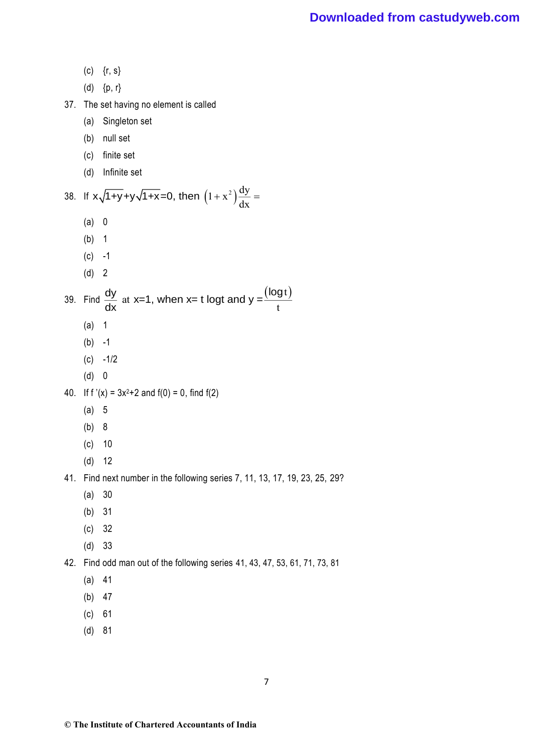(c)  ${r, s}$ (d)  ${p, r}$ 37. The set having no element is called (a) Singleton set (b) null set (c) finite set (d) Infinite set 38. If  $x\sqrt{1+y}+y\sqrt{1+x}=0$ , then  $(1+x^2)\frac{dy}{dx}=$ (a) 0 (b) 1  $(c) -1$ (d) 2 39. Find  $\frac{dy}{dx}$  at x=1, when x= t logt and y =  $\frac{(\text{log t})}{x}$ t  $\frac{dy}{dx}$  at x=1, when x= t logt and y = $\frac{(\log x)^2}{x}$ (a) 1  $(b) -1$  $(c) -1/2$ (d) 0 40. If  $f'(x) = 3x^2+2$  and  $f(0) = 0$ , find  $f(2)$ (a) 5 (b) 8 (c) 10 (d) 12 41. Find next number in the following series 7, 11, 13, 17, 19, 23, 25, 29? (a) 30 (b) 31 (c) 32 (d) 33 42. Find odd man out of the following series 41, 43, 47, 53, 61, 71, 73, 81 (a) 41 (b) 47 (c) 61 (d) 81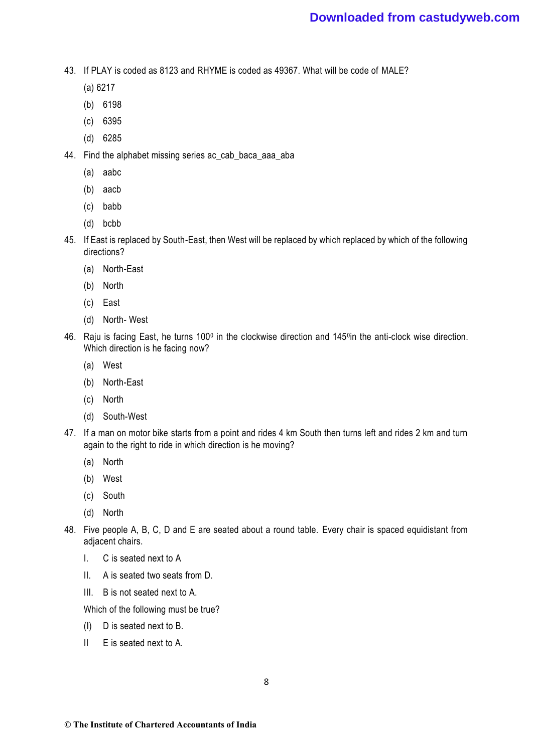43. If PLAY is coded as 8123 and RHYME is coded as 49367. What will be code of MALE?

- (a) 6217
- (b) 6198
- (c) 6395
- (d) 6285
- 44. Find the alphabet missing series ac\_cab\_baca\_aaa\_aba
	- (a) aabc
	- (b) aacb
	- (c) babb
	- (d) bcbb
- 45. If East is replaced by South-East, then West will be replaced by which replaced by which of the following directions?
	- (a) North-East
	- (b) North
	- (c) East
	- (d) North- West
- 46. Raju is facing East, he turns 100<sup>0</sup> in the clockwise direction and 145<sup>0</sup>in the anti-clock wise direction. Which direction is he facing now?
	- (a) West
	- (b) North-East
	- (c) North
	- (d) South-West
- 47. If a man on motor bike starts from a point and rides 4 km South then turns left and rides 2 km and turn again to the right to ride in which direction is he moving?
	- (a) North
	- (b) West
	- (c) South
	- (d) North
- 48. Five people A, B, C, D and E are seated about a round table. Every chair is spaced equidistant from adjacent chairs.
	- I. C is seated next to A
	- II. A is seated two seats from D.
	- III. B is not seated next to A.

Which of the following must be true?

- (I) D is seated next to B.
- II E is seated next to A.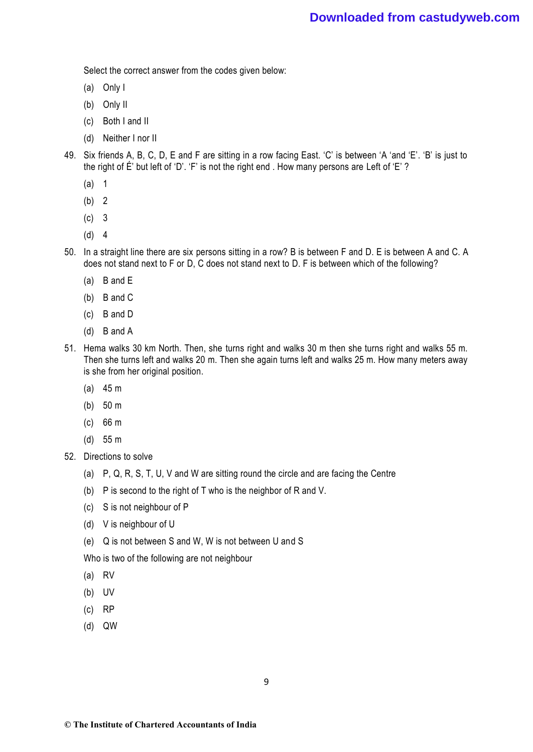Select the correct answer from the codes given below:

- (a) Only I
- (b) Only II
- (c) Both I and II
- (d) Neither I nor II
- 49. Six friends A, B, C, D, E and F are sitting in a row facing East. 'C' is between 'A 'and 'E'. 'B' is just to the right of É' but left of 'D'. 'F' is not the right end . How many persons are Left of 'E' ?
	- (a) 1
	- (b) 2
	- (c) 3
	- (d) 4
- 50. In a straight line there are six persons sitting in a row? B is between F and D. E is between A and C. A does not stand next to F or D, C does not stand next to D. F is between which of the following?
	- (a) B and E
	- (b) B and C
	- (c) B and D
	- (d) B and A
- 51. Hema walks 30 km North. Then, she turns right and walks 30 m then she turns right and walks 55 m. Then she turns left and walks 20 m. Then she again turns left and walks 25 m. How many meters away is she from her original position.
	- (a) 45 m
	- (b) 50 m
	- (c) 66 m
	- (d) 55 m
- 52. Directions to solve
	- (a) P, Q, R, S, T, U, V and W are sitting round the circle and are facing the Centre
	- (b) P is second to the right of T who is the neighbor of R and V.
	- (c) S is not neighbour of P
	- (d) V is neighbour of U
	- (e) Q is not between S and W, W is not between U and S

Who is two of the following are not neighbour

- (a) RV
- (b) UV
- (c) RP
- (d) QW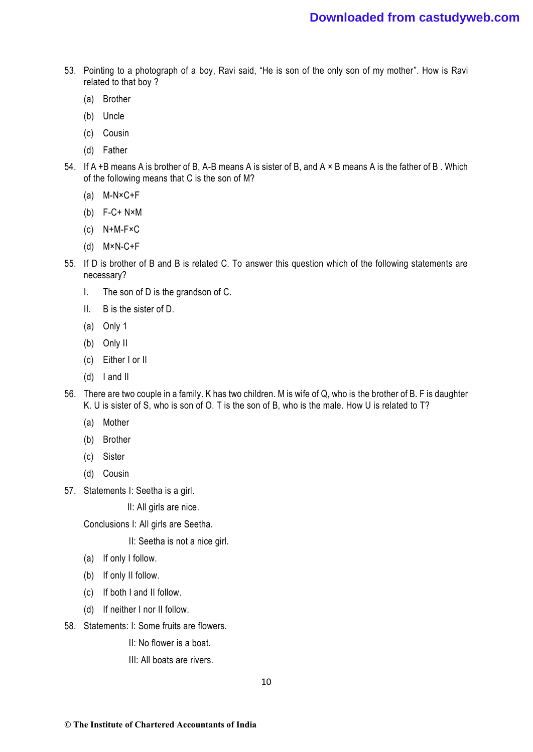- 53. Pointing to a photograph of a boy, Ravi said, "He is son of the only son of my mother". How is Ravi related to that boy ?
	- (a) Brother
	- (b) Uncle
	- (c) Cousin
	- (d) Father
- 54. If A +B means A is brother of B, A-B means A is sister of B, and A × B means A is the father of B . Which of the following means that C is the son of M?
	- (a) M-N×C+F
	- (b) F-C+ N×M
	- (c) N+M-F×C
	- (d) M×N-C+F
- 55. If D is brother of B and B is related C. To answer this question which of the following statements are necessary?
	- I. The son of D is the grandson of C.
	- II. B is the sister of D.
	- (a) Only 1
	- (b) Only II
	- (c) Either I or II
	- (d) I and II
- 56. There are two couple in a family. K has two children. M is wife of Q, who is the brother of B. F is daughter K. U is sister of S, who is son of O. T is the son of B, who is the male. How U is related to T?
	- (a) Mother
	- (b) Brother
	- (c) Sister
	- (d) Cousin
- 57. Statements I: Seetha is a girl.

II: All girls are nice.

Conclusions I: All girls are Seetha.

II: Seetha is not a nice girl.

- (a) If only I follow.
- (b) If only II follow.
- (c) If both I and II follow.
- (d) If neither I nor II follow.
- 58. Statements: I: Some fruits are flowers.
	- II: No flower is a boat.
	- III: All boats are rivers.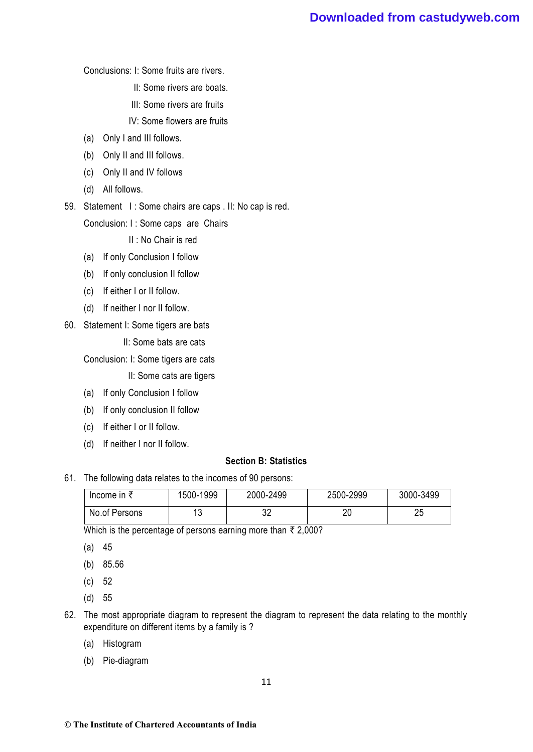## **Downloaded from castudyweb.com**

Conclusions: I: Some fruits are rivers.

- II: Some rivers are boats.
- III: Some rivers are fruits
- IV: Some flowers are fruits
- (a) Only I and III follows.
- (b) Only II and III follows.
- (c) Only II and IV follows
- (d) All follows.
- 59. Statement I : Some chairs are caps . II: No cap is red.

Conclusion: I : Some caps are Chairs

II : No Chair is red

- (a) If only Conclusion I follow
- (b) If only conclusion II follow
- (c) If either I or II follow.
- (d) If neither I nor II follow.
- 60. Statement I: Some tigers are bats
	- II: Some bats are cats

Conclusion: I: Some tigers are cats

- II: Some cats are tigers
- (a) If only Conclusion I follow
- (b) If only conclusion II follow
- (c) If either I or II follow.
- (d) If neither I nor II follow.

### **Section B: Statistics**

61. The following data relates to the incomes of 90 persons:

| Income in $\bar{\tau}$ | 1500-1999 | 2000-2499 | 2500-2999 | 3000-3499 |
|------------------------|-----------|-----------|-----------|-----------|
| No.of Persons          |           | ົດ<br>UZ  | 20        | つに<br>∠∪  |

Which is the percentage of persons earning more than  $\bar{\tau}$  2,000?

- (a) 45
- (b) 85.56
- (c) 52
- (d) 55
- 62. The most appropriate diagram to represent the diagram to represent the data relating to the monthly expenditure on different items by a family is ?
	- (a) Histogram
	- (b) Pie-diagram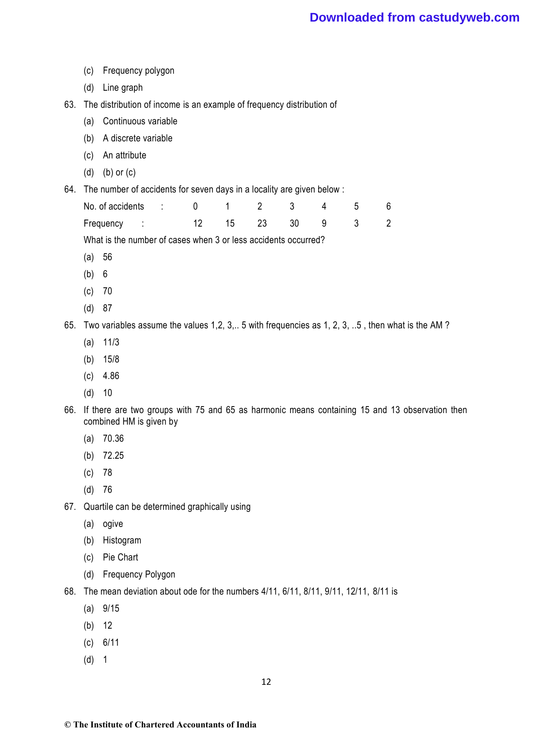- (c) Frequency polygon
- (d) Line graph
- 63. The distribution of income is an example of frequency distribution of
	- (a) Continuous variable
	- (b) A discrete variable
	- (c) An attribute
	- (d) (b) or (c)
- 64. The number of accidents for seven days in a locality are given below :

| No. of accidents : 0 1 2 3 4 5 6 |  |  |                   |  |  |
|----------------------------------|--|--|-------------------|--|--|
| Frequency :                      |  |  | 12 15 23 30 9 3 2 |  |  |

What is the number of cases when 3 or less accidents occurred?

- (a) 56
- (b) 6
- (c) 70
- (d) 87

65. Two variables assume the values 1,2, 3,.. 5 with frequencies as 1, 2, 3, ..5 , then what is the AM ?

- (a) 11/3
- (b) 15/8
- (c) 4.86
- (d) 10
- 66. If there are two groups with 75 and 65 as harmonic means containing 15 and 13 observation then combined HM is given by
	- (a) 70.36
	- (b) 72.25
	- (c) 78
	- (d) 76
- 67. Quartile can be determined graphically using
	- (a) ogive
	- (b) Histogram
	- (c) Pie Chart
	- (d) Frequency Polygon
- 68. The mean deviation about ode for the numbers 4/11, 6/11, 8/11, 9/11, 12/11, 8/11 is
	- (a) 9/15
	- (b) 12
	- (c) 6/11
	- (d) 1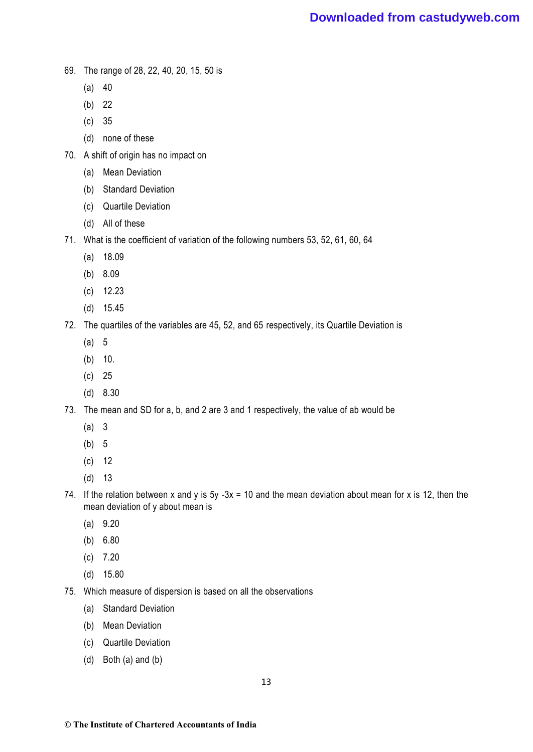- 69. The range of 28, 22, 40, 20, 15, 50 is
	- $(a) 40$
	- (b) 22
	- (c) 35
	- (d) none of these
- 70. A shift of origin has no impact on
	- (a) Mean Deviation
	- (b) Standard Deviation
	- (c) Quartile Deviation
	- (d) All of these
- 71. What is the coefficient of variation of the following numbers 53, 52, 61, 60, 64
	- (a) 18.09
	- (b) 8.09
	- (c) 12.23
	- (d) 15.45
- 72. The quartiles of the variables are 45, 52, and 65 respectively, its Quartile Deviation is
	- (a) 5
	- (b) 10.
	- (c) 25
	- (d) 8.30
- 73. The mean and SD for a, b, and 2 are 3 and 1 respectively, the value of ab would be
	- (a) 3
	- (b) 5
	- (c) 12
	- (d) 13
- 74. If the relation between x and y is  $5y 3x = 10$  and the mean deviation about mean for x is 12, then the mean deviation of y about mean is
	- (a) 9.20
	- (b) 6.80
	- $(c)$  7.20
	- (d) 15.80
- 75. Which measure of dispersion is based on all the observations
	- (a) Standard Deviation
	- (b) Mean Deviation
	- (c) Quartile Deviation
	- (d) Both (a) and (b)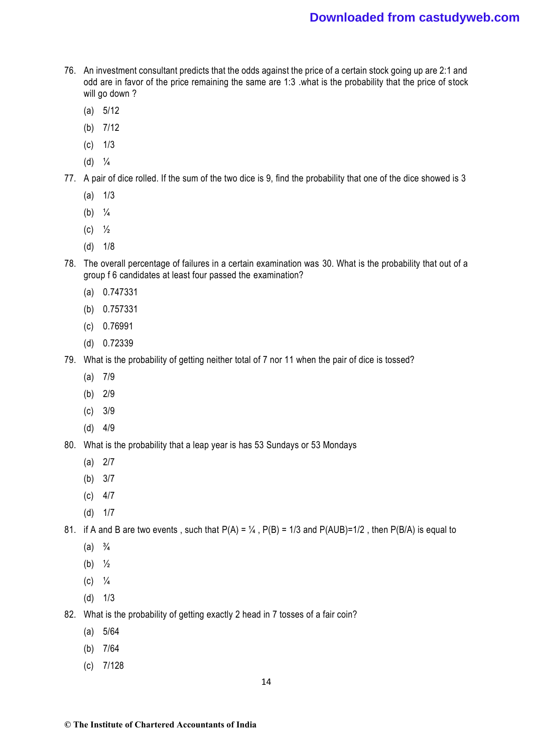- 76. An investment consultant predicts that the odds against the price of a certain stock going up are 2:1 and odd are in favor of the price remaining the same are 1:3 .what is the probability that the price of stock will go down ?
	- (a) 5/12
	- (b) 7/12
	- (c) 1/3
	- $(d) <sup>1</sup>/<sub>4</sub>$
- 77. A pair of dice rolled. If the sum of the two dice is 9, find the probability that one of the dice showed is 3
	- $(a)$   $1/3$
	- (b)  $\frac{1}{4}$
	- (c) ½
	- (d) 1/8
- 78. The overall percentage of failures in a certain examination was 30. What is the probability that out of a group f 6 candidates at least four passed the examination?
	- (a) 0.747331
	- (b) 0.757331
	- (c) 0.76991
	- (d) 0.72339
- 79. What is the probability of getting neither total of 7 nor 11 when the pair of dice is tossed?
	- (a) 7/9
	- (b) 2/9
	- (c) 3/9
	- (d) 4/9
- 80. What is the probability that a leap year is has 53 Sundays or 53 Mondays
	- (a) 2/7
	- (b) 3/7
	- $(c)$  4/7
	- (d) 1/7

81. if A and B are two events, such that  $P(A) = \frac{1}{4}$ ,  $P(B) = \frac{1}{3}$  and  $P(A \cup B) = \frac{1}{2}$ , then  $P(B \cap A)$  is equal to

- $(a) \frac{3}{4}$
- (b)  $\frac{1}{2}$
- $(C)$   $\frac{1}{4}$
- (d) 1/3
- 82. What is the probability of getting exactly 2 head in 7 tosses of a fair coin?
	- (a) 5/64
	- (b) 7/64
	- (c) 7/128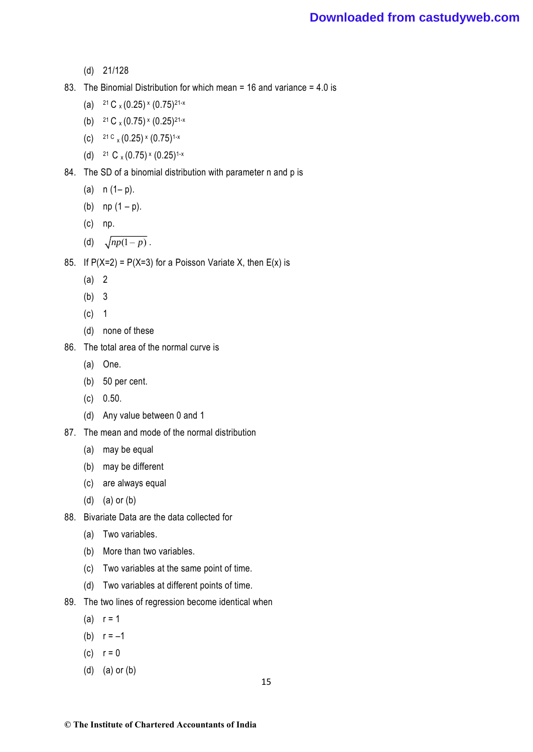- (d) 21/128
- 83. The Binomial Distribution for which mean = 16 and variance = 4.0 is
	- (a)  $21 \text{ C} \times (0.25) \times (0.75)$ <sup>21-x</sup>
	- (b)  $21 \text{ C} \times (0.75) \times (0.25)$ <sup>21-x</sup>
	- (c)  $21 \text{ C} \times (0.25) \times (0.75)^{1-x}$
	- (d)  $21 \text{ C} \times (0.75) \times (0.25)^{1-x}$
- 84. The SD of a binomial distribution with parameter n and p is
	- (a)  $n (1-p)$ .
	- (b)  $np(1-p)$ .
	- (c) np.
	- (d)  $\sqrt{np(1-p)}$ .

85. If  $P(X=2) = P(X=3)$  for a Poisson Variate X, then  $E(x)$  is

- (a) 2
- (b) 3
- (c) 1
- (d) none of these
- 86. The total area of the normal curve is
	- (a) One.
	- (b) 50 per cent.
	- (c) 0.50.
	- (d) Any value between 0 and 1
- 87. The mean and mode of the normal distribution
	- (a) may be equal
	- (b) may be different
	- (c) are always equal
	- (d) (a) or (b)
- 88. Bivariate Data are the data collected for
	- (a) Two variables.
	- (b) More than two variables.
	- (c) Two variables at the same point of time.
	- (d) Two variables at different points of time.
- 89. The two lines of regression become identical when
	- (a)  $r = 1$
	- (b)  $r = -1$
	- (c)  $r = 0$
	- (d) (a) or (b)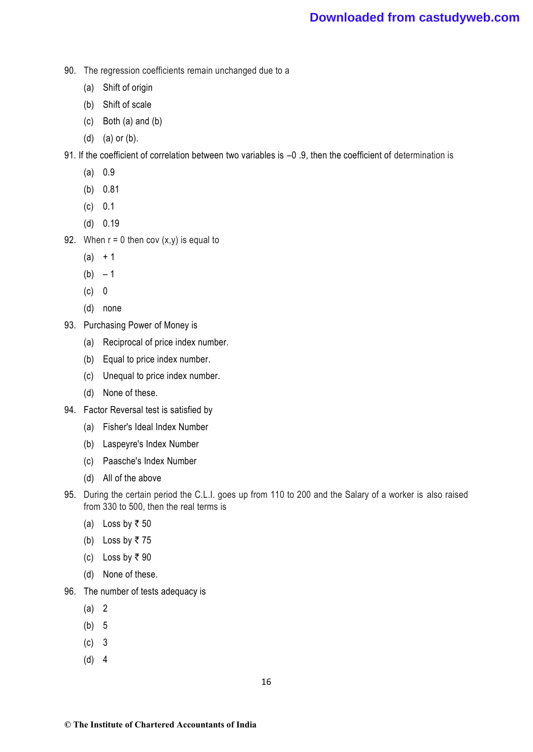- 90. The regression coefficients remain unchanged due to a
	- (a) Shift of origin
	- (b) Shift of scale
	- (c) Both (a) and (b)
	- (d) (a) or (b).

91. If the coefficient of correlation between two variables is –0 .9, then the coefficient of determination is

- (a) 0.9
- (b) 0.81
- (c) 0.1
- (d) 0.19
- 92. When  $r = 0$  then cov  $(x, y)$  is equal to
	- $(a) + 1$
	- $(b) 1$
	- (c) 0
	- (d) none
- 93. Purchasing Power of Money is
	- (a) Reciprocal of price index number.
	- (b) Equal to price index number.
	- (c) Unequal to price index number.
	- (d) None of these.
- 94. Factor Reversal test is satisfied by
	- (a) Fisher's Ideal Index Number
	- (b) Laspeyre's Index Number
	- (c) Paasche's Index Number
	- (d) All of the above
- 95. During the certain period the C.L.I. goes up from 110 to 200 and the Salary of a worker is also raised from 330 to 500, then the real terms is
	- (a) Loss by  $\overline{z}$  50
	- (b) Loss by  $\overline{z}$  75
	- (c) Loss by  $\overline{\tau}$  90
	- (d) None of these.
- 96. The number of tests adequacy is
	- (a) 2
	- (b) 5
	- (c) 3
	- (d) 4